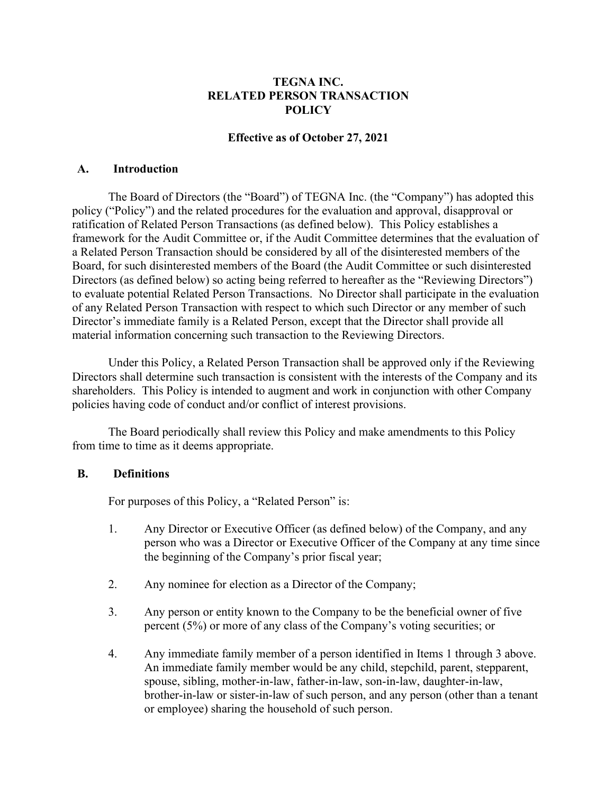## **TEGNA INC. RELATED PERSON TRANSACTION POLICY**

## **Effective as of October 27, 2021**

#### **A. Introduction**

The Board of Directors (the "Board") of TEGNA Inc. (the "Company") has adopted this policy ("Policy") and the related procedures for the evaluation and approval, disapproval or ratification of Related Person Transactions (as defined below). This Policy establishes a framework for the Audit Committee or, if the Audit Committee determines that the evaluation of a Related Person Transaction should be considered by all of the disinterested members of the Board, for such disinterested members of the Board (the Audit Committee or such disinterested Directors (as defined below) so acting being referred to hereafter as the "Reviewing Directors") to evaluate potential Related Person Transactions. No Director shall participate in the evaluation of any Related Person Transaction with respect to which such Director or any member of such Director's immediate family is a Related Person, except that the Director shall provide all material information concerning such transaction to the Reviewing Directors.

Under this Policy, a Related Person Transaction shall be approved only if the Reviewing Directors shall determine such transaction is consistent with the interests of the Company and its shareholders. This Policy is intended to augment and work in conjunction with other Company policies having code of conduct and/or conflict of interest provisions.

The Board periodically shall review this Policy and make amendments to this Policy from time to time as it deems appropriate.

### **B. Definitions**

For purposes of this Policy, a "Related Person" is:

- 1. Any Director or Executive Officer (as defined below) of the Company, and any person who was a Director or Executive Officer of the Company at any time since the beginning of the Company's prior fiscal year;
- 2. Any nominee for election as a Director of the Company;
- 3. Any person or entity known to the Company to be the beneficial owner of five percent (5%) or more of any class of the Company's voting securities; or
- 4. Any immediate family member of a person identified in Items 1 through 3 above. An immediate family member would be any child, stepchild, parent, stepparent, spouse, sibling, mother-in-law, father-in-law, son-in-law, daughter-in-law, brother-in-law or sister-in-law of such person, and any person (other than a tenant or employee) sharing the household of such person.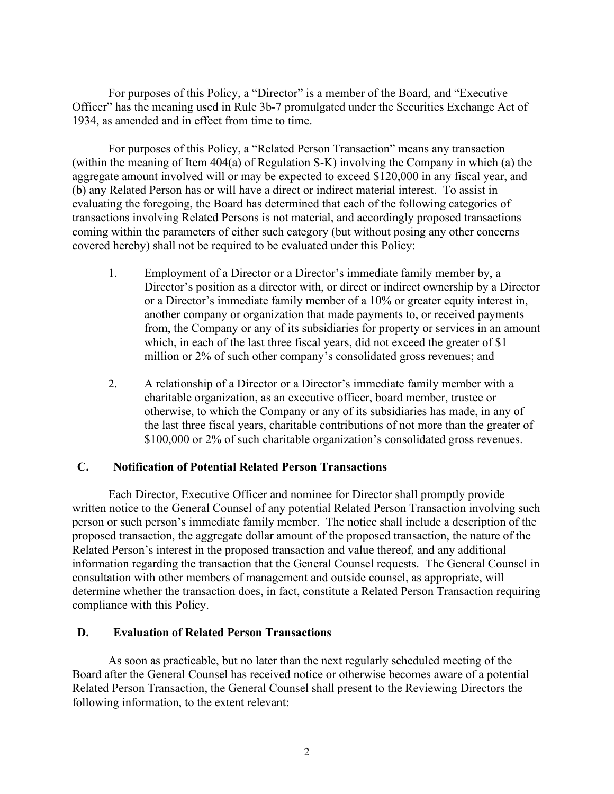For purposes of this Policy, a "Director" is a member of the Board, and "Executive Officer" has the meaning used in Rule 3b-7 promulgated under the Securities Exchange Act of 1934, as amended and in effect from time to time.

For purposes of this Policy, a "Related Person Transaction" means any transaction (within the meaning of Item 404(a) of Regulation S-K) involving the Company in which (a) the aggregate amount involved will or may be expected to exceed \$120,000 in any fiscal year, and (b) any Related Person has or will have a direct or indirect material interest. To assist in evaluating the foregoing, the Board has determined that each of the following categories of transactions involving Related Persons is not material, and accordingly proposed transactions coming within the parameters of either such category (but without posing any other concerns covered hereby) shall not be required to be evaluated under this Policy:

- 1. Employment of a Director or a Director's immediate family member by, a Director's position as a director with, or direct or indirect ownership by a Director or a Director's immediate family member of a 10% or greater equity interest in, another company or organization that made payments to, or received payments from, the Company or any of its subsidiaries for property or services in an amount which, in each of the last three fiscal years, did not exceed the greater of \$1 million or 2% of such other company's consolidated gross revenues; and
- 2. A relationship of a Director or a Director's immediate family member with a charitable organization, as an executive officer, board member, trustee or otherwise, to which the Company or any of its subsidiaries has made, in any of the last three fiscal years, charitable contributions of not more than the greater of \$100,000 or 2% of such charitable organization's consolidated gross revenues.

## **C. Notification of Potential Related Person Transactions**

Each Director, Executive Officer and nominee for Director shall promptly provide written notice to the General Counsel of any potential Related Person Transaction involving such person or such person's immediate family member. The notice shall include a description of the proposed transaction, the aggregate dollar amount of the proposed transaction, the nature of the Related Person's interest in the proposed transaction and value thereof, and any additional information regarding the transaction that the General Counsel requests. The General Counsel in consultation with other members of management and outside counsel, as appropriate, will determine whether the transaction does, in fact, constitute a Related Person Transaction requiring compliance with this Policy.

### **D. Evaluation of Related Person Transactions**

As soon as practicable, but no later than the next regularly scheduled meeting of the Board after the General Counsel has received notice or otherwise becomes aware of a potential Related Person Transaction, the General Counsel shall present to the Reviewing Directors the following information, to the extent relevant: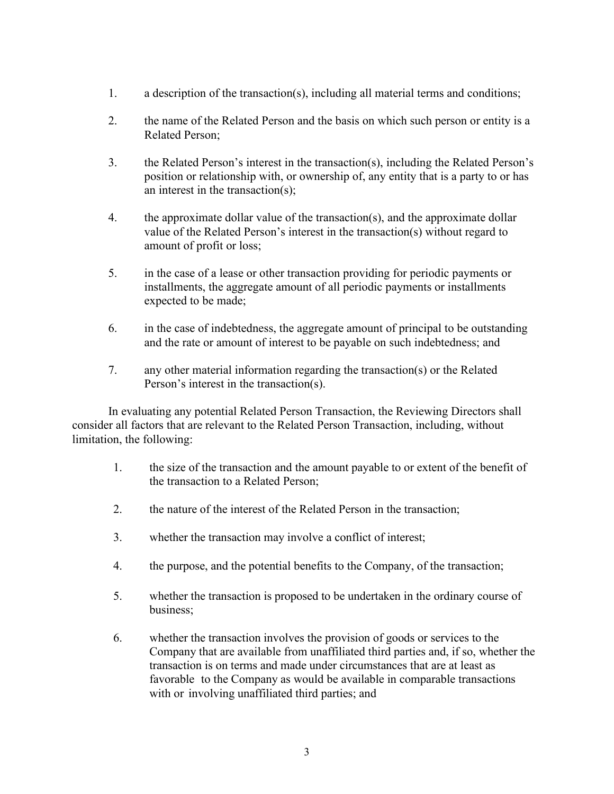- 1. a description of the transaction(s), including all material terms and conditions;
- 2. the name of the Related Person and the basis on which such person or entity is a Related Person;
- 3. the Related Person's interest in the transaction(s), including the Related Person's position or relationship with, or ownership of, any entity that is a party to or has an interest in the transaction(s);
- 4. the approximate dollar value of the transaction(s), and the approximate dollar value of the Related Person's interest in the transaction(s) without regard to amount of profit or loss;
- 5. in the case of a lease or other transaction providing for periodic payments or installments, the aggregate amount of all periodic payments or installments expected to be made;
- 6. in the case of indebtedness, the aggregate amount of principal to be outstanding and the rate or amount of interest to be payable on such indebtedness; and
- 7. any other material information regarding the transaction(s) or the Related Person's interest in the transaction(s).

In evaluating any potential Related Person Transaction, the Reviewing Directors shall consider all factors that are relevant to the Related Person Transaction, including, without limitation, the following:

- 1. the size of the transaction and the amount payable to or extent of the benefit of the transaction to a Related Person;
- 2. the nature of the interest of the Related Person in the transaction;
- 3. whether the transaction may involve a conflict of interest;
- 4. the purpose, and the potential benefits to the Company, of the transaction;
- 5. whether the transaction is proposed to be undertaken in the ordinary course of business;
- 6. whether the transaction involves the provision of goods or services to the Company that are available from unaffiliated third parties and, if so, whether the transaction is on terms and made under circumstances that are at least as favorable to the Company as would be available in comparable transactions with or involving unaffiliated third parties; and